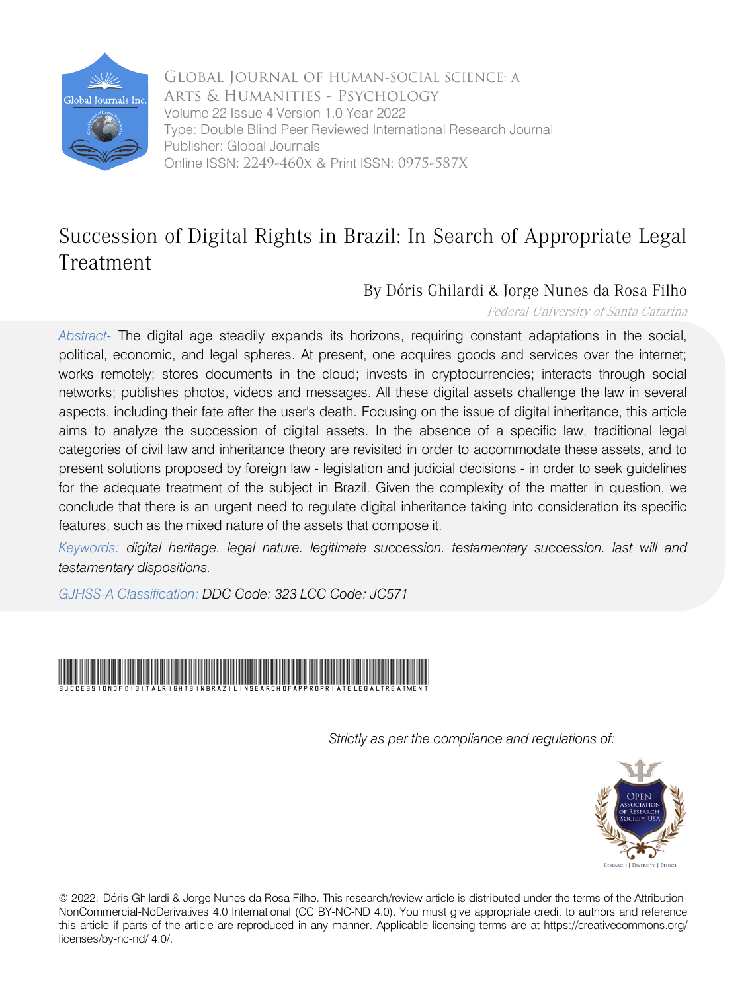

 Online ISSN: 2249-460x & Print ISSN: 0975-587X Arts & Humanities - Psychology Global Journal of HUMAN-SOCIAL SCIENCE: A Volume 22 Issue 4 Version 1.0 Year 2022 Type: Double Blind Peer Reviewed International Research Journal Publisher: Global Journals

## Succession of Digital Rights in Brazil: In Search of Appropriate Legal Treatment

### By Dóris Ghilardi & Jorge Nunes da Rosa Filho

Federal University of Santa Catarina

*Abstract-* The digital age steadily expands its horizons, requiring constant adaptations in the social, political, economic, and legal spheres. At present, one acquires goods and services over the internet; works remotely; stores documents in the cloud; invests in cryptocurrencies; interacts through social networks; publishes photos, videos and messages. All these digital assets challenge the law in several aspects, including their fate after the user's death. Focusing on the issue of digital inheritance, this article aims to analyze the succession of digital assets. In the absence of a specific law, traditional legal categories of civil law and inheritance theory are revisited in order to accommodate these assets, and to present solutions proposed by foreign law - legislation and judicial decisions - in order to seek guidelines for the adequate treatment of the subject in Brazil. Given the complexity of the matter in question, we conclude that there is an urgent need to regulate digital inheritance taking into consideration its specific features, such as the mixed nature of the assets that compose it.

*Keywords: digital heritage. legal nature. legitimate succession. testamentary succession. last will and testamentary dispositions.* 

*GJHSS-A Classification: DDC Code: 323 LCC Code: JC571*



*Strictly as per the compliance and regulations of:*



© 2022. Dóris Ghilardi & Jorge Nunes da Rosa Filho. This research/review article is distributed under the terms of the Attribution-NonCommercial-NoDerivatives 4.0 International (CC BY-NC-ND 4.0). You must give appropriate credit to authors and reference this article if parts of the article are reproduced in any manner. Applicable licensing terms are at https://creativecommons.org/ licenses/by-nc-nd/ 4.0/.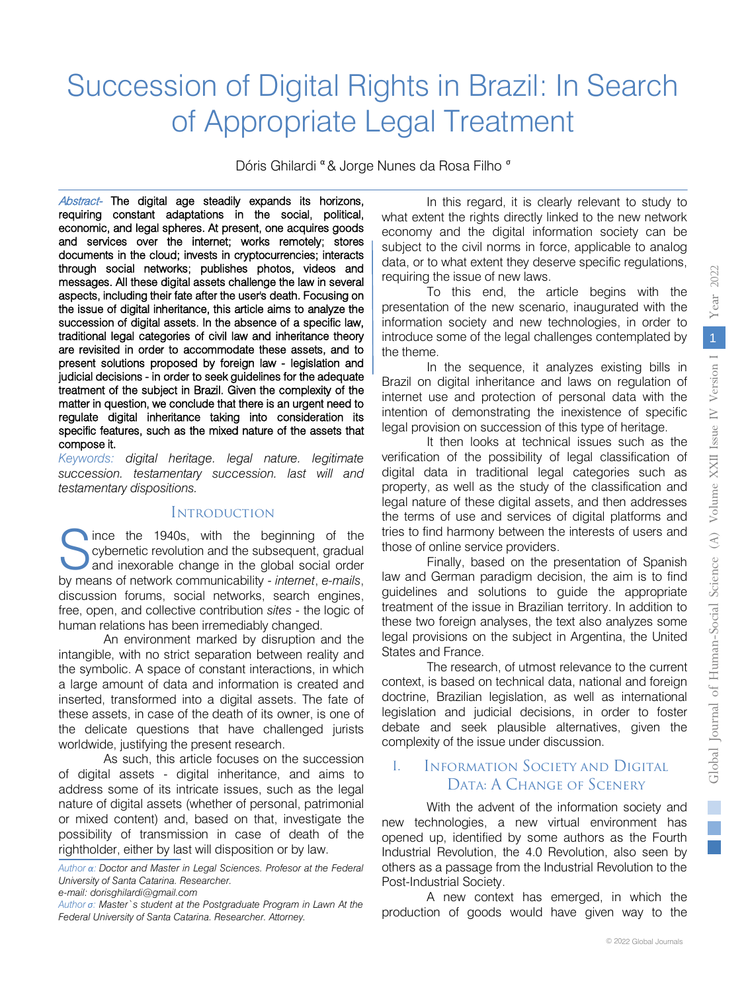# Succession of Digital Rights in Brazil: In Search of Appropriate Legal Treatment

Dóris Ghilardi <sup>α</sup> & Jorge Nunes da Rosa Filho <sup>σ</sup>

Abstract- The digital age steadily expands its horizons, through social networks; publishes photos, videos and requiring constant adaptations in the social, political, economic, and legal spheres. At present, one acquires goods and services over the internet; works remotely; stores documents in the cloud; invests in cryptocurrencies; interacts messages. All these digital assets challenge the law in several aspects, including their fate after the user's death. Focusing on the issue of digital inheritance, this article aims to analyze the judicial decisions - in order to seek guidelines for the adequate succession of digital assets. In the absence of a specific law, traditional legal categories of civil law and inheritance theory are revisited in order to accommodate these assets, and to present solutions proposed by foreign law - legislation and treatment of the subject in Brazil. Given the complexity of the matter in question, we conclude that there is an urgent need to regulate digital inheritance taking into consideration its specific features, such as the mixed nature of the assets that compose it.

*Keywords: digital heritage. legal nature. legitimate succession. testamentary succession. last will and testamentary dispositions.*

#### **INTRODUCTION**

ince the 1940s, with the beginning of the cybernetic revolution and the subsequent, gradual and inexorable change in the global social order Since the 1940s, with the beginning of the cybernetic revolution and the subsequent, gradual and inexorable change in the global social order by means of network communicability - *internet*, e-mails, discussion forums, social networks, search engines, free, open, and collective contribution *sites* - the logic of human relations has been irremediably changed.

An environment marked by disruption and the intangible, with no strict separation between reality and the symbolic. A space of constant interactions, in which a large amount of data and information is created and inserted, transformed into a digital assets. The fate of these assets, in case of the death of its owner, is one of the delicate questions that have challenged jurists worldwide, justifying the present research.

As such, this article focuses on the succession of digital assets - digital inheritance, and aims to address some of its intricate issues, such as the legal nature of digital assets (whether of personal, patrimonial or mixed content) and, based on that, investigate the possibility of transmission in case of death of the rightholder, either by last will disposition or by law.

*Author α: Doctor and Master in Legal Sciences. Profesor at the Federal University of Santa Catarina. Researcher.* 

In this regard, it is clearly relevant to study to what extent the rights directly linked to the new network economy and the digital information society can be subject to the civil norms in force, applicable to analog data, or to what extent they deserve specific regulations, requiring the issue of new laws.

To this end, the article begins with the presentation of the new scenario, inaugurated with the information society and new technologies, in order to introduce some of the legal challenges contemplated by the theme.

In the sequence, it analyzes existing bills in Brazil on digital inheritance and laws on regulation of internet use and protection of personal data with the intention of demonstrating the inexistence of specific legal provision on succession of this type of heritage.

It then looks at technical issues such as the verification of the possibility of legal classification of digital data in traditional legal categories such as property, as well as the study of the classification and legal nature of these digital assets, and then addresses the terms of use and services of digital platforms and tries to find harmony between the interests of users and those of online service providers.

Finally, based on the presentation of Spanish law and German paradigm decision, the aim is to find guidelines and solutions to guide the appropriate treatment of the issue in Brazilian territory. In addition to these two foreign analyses, the text also analyzes some legal provisions on the subject in Argentina, the United States and France.

The research, of utmost relevance to the current context, is based on technical data, national and foreign doctrine, Brazilian legislation, as well as international legislation and judicial decisions, in order to foster debate and seek plausible alternatives, given the complexity of the issue under discussion.

#### I. Information Society and Digital Data: A Change of Scenery

With the advent of the information society and new technologies, a new virtual environment has opened up, identified by some authors as the Fourth Industrial Revolution, the 4.0 Revolution, also seen by others as a passage from the Industrial Revolution to the Post-Industrial Society.

A new context has emerged, in which the production of goods would have given way to the

*e-mail: dorisghilardi@gmail.com*

*Author σ: Master`s student at the Postgraduate Program in Lawn At the Federal University of Santa Catarina. Researcher. Attorney.*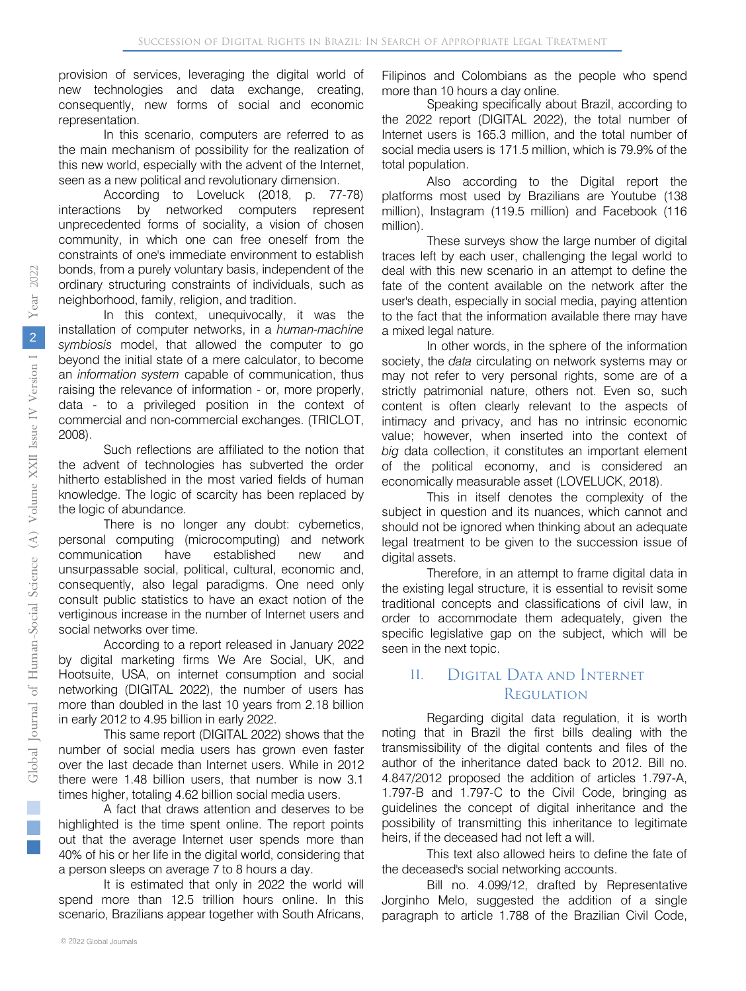provision of services, leveraging the digital world of new technologies and data exchange, creating, consequently, new forms of social and economic representation.

In this scenario, computers are referred to as the main mechanism of possibility for the realization of this new world, especially with the advent of the Internet, seen as a new political and revolutionary dimension.

According to Loveluck (2018, p. 77-78) interactions by networked computers represent unprecedented forms of sociality, a vision of chosen community, in which one can free oneself from the constraints of one's immediate environment to establish bonds, from a purely voluntary basis, independent of the ordinary structuring constraints of individuals, such as neighborhood, family, religion, and tradition.

In this context, unequivocally, it was the installation of computer networks, in a *human-machine symbiosis* model, that allowed the computer to go beyond the initial state of a mere calculator, to become an *information system* capable of communication, thus raising the relevance of information - or, more properly, data - to a privileged position in the context of commercial and non-commercial exchanges. (TRICLOT, 2008).

Such reflections are affiliated to the notion that the advent of technologies has subverted the order hitherto established in the most varied fields of human knowledge. The logic of scarcity has been replaced by the logic of abundance.

There is no longer any doubt: cybernetics, personal computing (microcomputing) and network communication have established new and unsurpassable social, political, cultural, economic and, consequently, also legal paradigms. One need only consult public statistics to have an exact notion of the vertiginous increase in the number of Internet users and social networks over time.

According to a report released in January 2022 by digital marketing firms We Are Social, UK, and Hootsuite, USA, on internet consumption and social networking (DIGITAL 2022), the number of users has more than doubled in the last 10 years from 2.18 billion in early 2012 to 4.95 billion in early 2022.

This same report (DIGITAL 2022) shows that the number of social media users has grown even faster over the last decade than Internet users. While in 2012 there were 1.48 billion users, that number is now 3.1 times higher, totaling 4.62 billion social media users.

A fact that draws attention and deserves to be highlighted is the time spent online. The report points out that the average Internet user spends more than 40% of his or her life in the digital world, considering that a person sleeps on average 7 to 8 hours a day.

It is estimated that only in 2022 the world will spend more than 12.5 trillion hours online. In this scenario, Brazilians appear together with South Africans,

Filipinos and Colombians as the people who spend more than 10 hours a day online.

Speaking specifically about Brazil, according to the 2022 report (DIGITAL 2022), the total number of Internet users is 165.3 million, and the total number of social media users is 171.5 million, which is 79.9% of the total population.

Also according to the Digital report the platforms most used by Brazilians are Youtube (138 million), Instagram (119.5 million) and Facebook (116 million).

These surveys show the large number of digital traces left by each user, challenging the legal world to deal with this new scenario in an attempt to define the fate of the content available on the network after the user's death, especially in social media, paying attention to the fact that the information available there may have a mixed legal nature.

In other words, in the sphere of the information society, the *data* circulating on network systems may or may not refer to very personal rights, some are of a strictly patrimonial nature, others not. Even so, such content is often clearly relevant to the aspects of intimacy and privacy, and has no intrinsic economic value; however, when inserted into the context of *big* data collection, it constitutes an important element of the political economy, and is considered an economically measurable asset (LOVELUCK, 2018).

This in itself denotes the complexity of the subject in question and its nuances, which cannot and should not be ignored when thinking about an adequate legal treatment to be given to the succession issue of digital assets.

Therefore, in an attempt to frame digital data in the existing legal structure, it is essential to revisit some traditional concepts and classifications of civil law, in order to accommodate them adequately, given the specific legislative gap on the subject, which will be seen in the next topic.

#### II. Digital Data and Internet **REGULATION**

Regarding digital data regulation, it is worth noting that in Brazil the first bills dealing with the transmissibility of the digital contents and files of the author of the inheritance dated back to 2012. Bill no. 4.847/2012 proposed the addition of articles 1.797-A, 1.797-B and 1.797-C to the Civil Code, bringing as guidelines the concept of digital inheritance and the possibility of transmitting this inheritance to legitimate heirs, if the deceased had not left a will.

This text also allowed heirs to define the fate of the deceased's social networking accounts.

Bill no. 4.099/12, drafted by Representative Jorginho Melo, suggested the addition of a single paragraph to article 1.788 of the Brazilian Civil Code,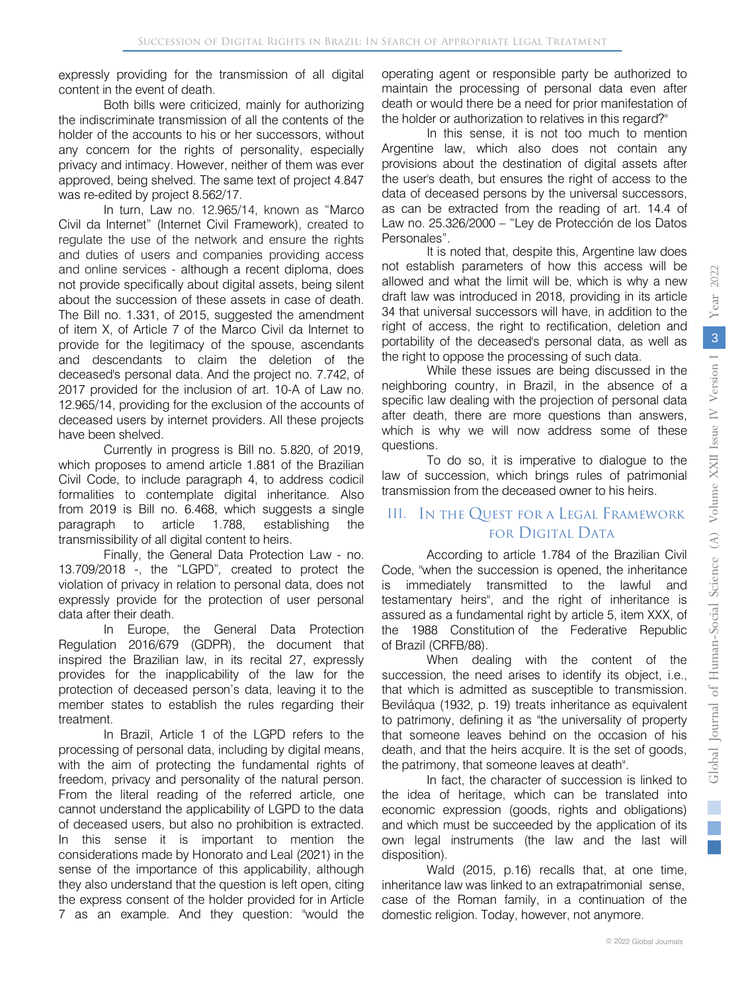expressly providing for the transmission of all digital content in the event of death.

Both bills were criticized, mainly for authorizing the indiscriminate transmission of all the contents of the holder of the accounts to his or her successors, without any concern for the rights of personality, especially privacy and intimacy. However, neither of them was ever approved, being shelved. The same text of project 4.847 was re-edited by project 8.562/17.

In turn, Law no. 12.965/14, known as "Marco Civil da Internet" (Internet Civil Framework), created to regulate the use of the network and ensure the rights and duties of users and companies providing access and online services - although a recent diploma, does not provide specifically about digital assets, being silent about the succession of these assets in case of death. The Bill no. 1.331, of 2015, suggested the amendment of item X, of Article 7 of the Marco Civil da Internet to provide for the legitimacy of the spouse, ascendants and descendants to claim the deletion of the deceased's personal data. And the project no. 7.742, of 2017 provided for the inclusion of art. 10-A of Law no. 12.965/14, providing for the exclusion of the accounts of deceased users by internet providers. All these projects have been shelved.

Currently in progress is Bill no. 5.820, of 2019, which proposes to amend article 1.881 of the Brazilian Civil Code, to include paragraph 4, to address codicil formalities to contemplate digital inheritance. Also from 2019 is Bill no. 6.468, which suggests a single paragraph to article 1.788, establishing the transmissibility of all digital content to heirs.

Finally, the General Data Protection Law - no. 13.709/2018 -, the "LGPD"*,* created to protect the violation of privacy in relation to personal data, does not expressly provide for the protection of user personal data after their death.

In Europe, the General Data Protection Regulation 2016/679 (GDPR), the document that inspired the Brazilian law, in its recital 27, expressly provides for the inapplicability of the law for the protection of deceased person's data, leaving it to the member states to establish the rules regarding their treatment.

In Brazil, Article 1 of the LGPD refers to the processing of personal data, including by digital means, with the aim of protecting the fundamental rights of freedom, privacy and personality of the natural person. From the literal reading of the referred article, one cannot understand the applicability of LGPD to the data of deceased users, but also no prohibition is extracted. In this sense it is important to mention the considerations made by Honorato and Leal (2021) in the sense of the importance of this applicability, although they also understand that the question is left open, citing the express consent of the holder provided for in Article 7 as an example. And they question: "would the

operating agent or responsible party be authorized to maintain the processing of personal data even after death or would there be a need for prior manifestation of the holder or authorization to relatives in this regard?"

In this sense, it is not too much to mention Argentine law, which also does not contain any provisions about the destination of digital assets after the user's death, but ensures the right of access to the data of deceased persons by the universal successors, as can be extracted from the reading of art. 14.4 of Law no. 25.326/2000 – "Ley de Protección de los Datos Personales".

It is noted that, despite this, Argentine law does not establish parameters of how this access will be allowed and what the limit will be, which is why a new draft law was introduced in 2018, providing in its article 34 that universal successors will have, in addition to the right of access, the right to rectification, deletion and portability of the deceased's personal data, as well as the right to oppose the processing of such data.

While these issues are being discussed in the neighboring country, in Brazil, in the absence of a specific law dealing with the projection of personal data after death, there are more questions than answers, which is why we will now address some of these questions.

To do so, it is imperative to dialogue to the law of succession, which brings rules of patrimonial transmission from the deceased owner to his heirs.

#### III. In the Quest for a Legal Framework for Digital Data

According to article 1.784 of the Brazilian Civil Code, "when the succession is opened, the inheritance is immediately transmitted to the lawful and testamentary heirs", and the right of inheritance is assured as a fundamental right by article 5, item XXX, of the 1988 Constitution of the Federative Republic of Brazil (CRFB/88).

When dealing with the content of the succession, the need arises to identify its object, i.e., that which is admitted as susceptible to transmission. Beviláqua (1932, p. 19) treats inheritance as equivalent to patrimony, defining it as "the universality of property that someone leaves behind on the occasion of his death, and that the heirs acquire. It is the set of goods, the patrimony, that someone leaves at death".

In fact, the character of succession is linked to the idea of heritage, which can be translated into economic expression (goods, rights and obligations) and which must be succeeded by the application of its own legal instruments (the law and the last will disposition).

Wald (2015, p.16) recalls that, at one time, inheritance law was linked to an extrapatrimonial sense, case of the Roman family, in a continuation of the domestic religion. Today, however, not anymore.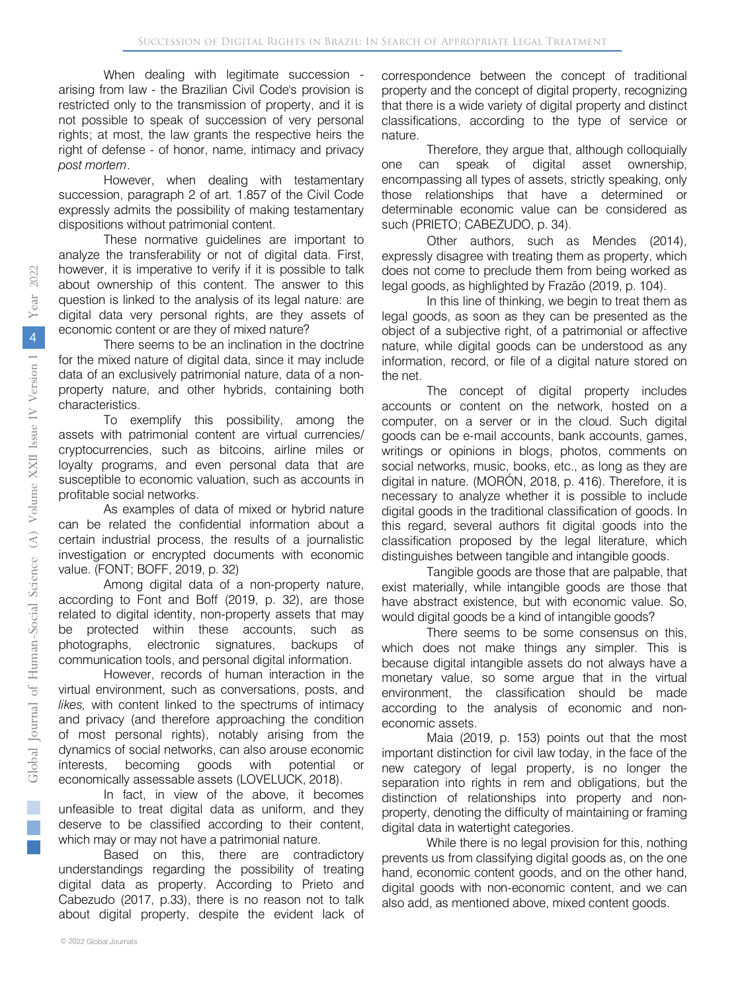When dealing with legitimate succession arising from law - the Brazilian Civil Code's provision is restricted only to the transmission of property, and it is not possible to speak of succession of very personal rights; at most, the law grants the respective heirs the right of defense - of honor, name, intimacy and privacy *post mortem*.

However, when dealing with testamentary succession, paragraph 2 of art. 1.857 of the Civil Code expressly admits the possibility of making testamentary dispositions without patrimonial content.

These normative guidelines are important to analyze the transferability or not of digital data. First, however, it is imperative to verify if it is possible to talk about ownership of this content. The answer to this question is linked to the analysis of its legal nature: are digital data very personal rights, are they assets of economic content or are they of mixed nature?

There seems to be an inclination in the doctrine for the mixed nature of digital data, since it may include data of an exclusively patrimonial nature, data of a nonproperty nature, and other hybrids, containing both characteristics.

To exemplify this possibility, among the assets with patrimonial content are virtual currencies/ cryptocurrencies, such as bitcoins, airline miles or loyalty programs, and even personal data that are susceptible to economic valuation, such as accounts in profitable social networks.

As examples of data of mixed or hybrid nature can be related the confidential information about a certain industrial process, the results of a journalistic investigation or encrypted documents with economic value. (FONT; BOFF, 2019, p. 32)

Among digital data of a non-property nature, according to Font and Boff (2019, p. 32), are those related to digital identity, non-property assets that may be protected within these accounts, such as photographs, electronic signatures, backups of communication tools, and personal digital information.

However, records of human interaction in the virtual environment, such as conversations, posts, and *likes,* with content linked to the spectrums of intimacy and privacy (and therefore approaching the condition of most personal rights), notably arising from the dynamics of social networks, can also arouse economic interests, becoming goods with potential or economically assessable assets (LOVELUCK, 2018).

In fact, in view of the above, it becomes unfeasible to treat digital data as uniform, and they deserve to be classified according to their content, which may or may not have a patrimonial nature.

Based on this, there are contradictory understandings regarding the possibility of treating digital data as property. According to Prieto and Cabezudo (2017, p.33), there is no reason not to talk about digital property, despite the evident lack of

correspondence between the concept of traditional property and the concept of digital property, recognizing that there is a wide variety of digital property and distinct classifications, according to the type of service or nature.

Therefore, they argue that, although colloquially one can speak of digital asset ownership, encompassing all types of assets, strictly speaking, only those relationships that have a determined or determinable economic value can be considered as such (PRIETO; CABEZUDO, p. 34).

Other authors, such as Mendes (2014), expressly disagree with treating them as property, which does not come to preclude them from being worked as legal goods, as highlighted by Frazão (2019, p. 104).

In this line of thinking, we begin to treat them as legal goods, as soon as they can be presented as the object of a subjective right, of a patrimonial or affective nature, while digital goods can be understood as any information, record, or file of a digital nature stored on the net.

The concept of digital property includes accounts or content on the network, hosted on a computer, on a server or in the cloud. Such digital goods can be e-mail accounts, bank accounts, games, writings or opinions in blogs, photos, comments on social networks, music, books, etc., as long as they are digital in nature. (MORÓN, 2018, p. 416). Therefore, it is necessary to analyze whether it is possible to include digital goods in the traditional classification of goods. In this regard, several authors fit digital goods into the classification proposed by the legal literature, which distinguishes between tangible and intangible goods.

Tangible goods are those that are palpable, that exist materially, while intangible goods are those that have abstract existence, but with economic value. So, would digital goods be a kind of intangible goods?

There seems to be some consensus on this, which does not make things any simpler. This is because digital intangible assets do not always have a monetary value, so some argue that in the virtual environment, the classification should be made according to the analysis of economic and noneconomic assets.

Maia (2019, p. 153) points out that the most important distinction for civil law today, in the face of the new category of legal property, is no longer the separation into rights in rem and obligations, but the distinction of relationships into property and nonproperty, denoting the difficulty of maintaining or framing digital data in watertight categories.

While there is no legal provision for this, nothing prevents us from classifying digital goods as, on the one hand, economic content goods, and on the other hand, digital goods with non-economic content, and we can also add, as mentioned above, mixed content goods.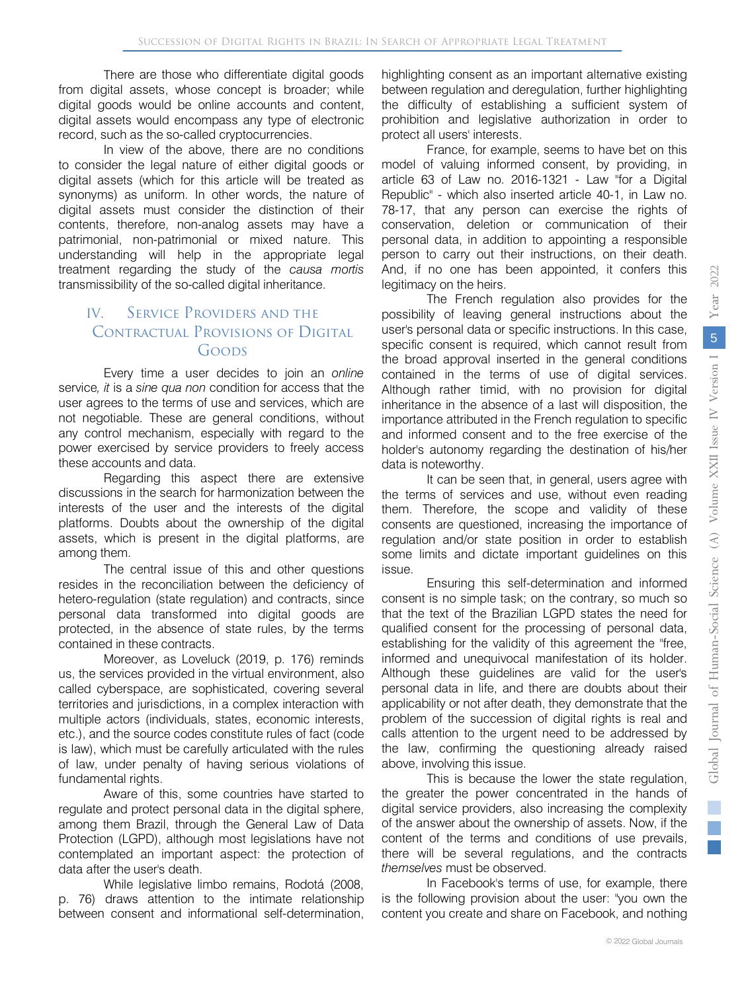There are those who differentiate digital goods from digital assets, whose concept is broader; while digital goods would be online accounts and content, digital assets would encompass any type of electronic record, such as the so-called cryptocurrencies.

In view of the above, there are no conditions to consider the legal nature of either digital goods or digital assets (which for this article will be treated as synonyms) as uniform. In other words, the nature of digital assets must consider the distinction of their contents, therefore, non-analog assets may have a patrimonial, non-patrimonial or mixed nature. This understanding will help in the appropriate legal treatment regarding the study of the *causa mortis*  transmissibility of the so-called digital inheritance.

#### IV. Service Providers and the Contractual Provisions of Digital Goods

Every time a user decides to join an *online*  service*, it* is a *sine qua non* condition for access that the user agrees to the terms of use and services, which are not negotiable. These are general conditions, without any control mechanism, especially with regard to the power exercised by service providers to freely access these accounts and data.

Regarding this aspect there are extensive discussions in the search for harmonization between the interests of the user and the interests of the digital platforms. Doubts about the ownership of the digital assets, which is present in the digital platforms, are among them.

The central issue of this and other questions resides in the reconciliation between the deficiency of hetero-regulation (state regulation) and contracts, since personal data transformed into digital goods are protected, in the absence of state rules, by the terms contained in these contracts.

Moreover, as Loveluck (2019, p. 176) reminds us, the services provided in the virtual environment, also called cyberspace, are sophisticated, covering several territories and jurisdictions, in a complex interaction with multiple actors (individuals, states, economic interests, etc.), and the source codes constitute rules of fact (code is law), which must be carefully articulated with the rules of law, under penalty of having serious violations of fundamental rights.

Aware of this, some countries have started to regulate and protect personal data in the digital sphere, among them Brazil, through the General Law of Data Protection (LGPD), although most legislations have not contemplated an important aspect: the protection of data after the user's death.

While legislative limbo remains, Rodotá (2008, p. 76) draws attention to the intimate relationship between consent and informational self-determination,

highlighting consent as an important alternative existing between regulation and deregulation, further highlighting the difficulty of establishing a sufficient system of prohibition and legislative authorization in order to protect all users' interests.

France, for example, seems to have bet on this model of valuing informed consent, by providing, in article 63 of Law no. 2016-1321 - Law "for a Digital Republic" - which also inserted article 40-1, in Law no. 78-17, that any person can exercise the rights of conservation, deletion or communication of their personal data, in addition to appointing a responsible person to carry out their instructions, on their death. And, if no one has been appointed, it confers this legitimacy on the heirs.

The French regulation also provides for the possibility of leaving general instructions about the user's personal data or specific instructions. In this case, specific consent is required, which cannot result from the broad approval inserted in the general conditions contained in the terms of use of digital services. Although rather timid, with no provision for digital inheritance in the absence of a last will disposition, the importance attributed in the French regulation to specific and informed consent and to the free exercise of the holder's autonomy regarding the destination of his/her data is noteworthy.

It can be seen that, in general, users agree with the terms of services and use, without even reading them. Therefore, the scope and validity of these consents are questioned, increasing the importance of regulation and/or state position in order to establish some limits and dictate important guidelines on this issue.

Ensuring this self-determination and informed consent is no simple task; on the contrary, so much so that the text of the Brazilian LGPD states the need for qualified consent for the processing of personal data, establishing for the validity of this agreement the "free, informed and unequivocal manifestation of its holder. Although these guidelines are valid for the user's personal data in life, and there are doubts about their applicability or not after death, they demonstrate that the problem of the succession of digital rights is real and calls attention to the urgent need to be addressed by the law, confirming the questioning already raised above, involving this issue.

This is because the lower the state regulation, the greater the power concentrated in the hands of digital service providers, also increasing the complexity of the answer about the ownership of assets. Now, if the content of the terms and conditions of use prevails, there will be several regulations, and the contracts *themselves* must be observed.

In Facebook's terms of use, for example, there is the following provision about the user: "you own the content you create and share on Facebook, and nothing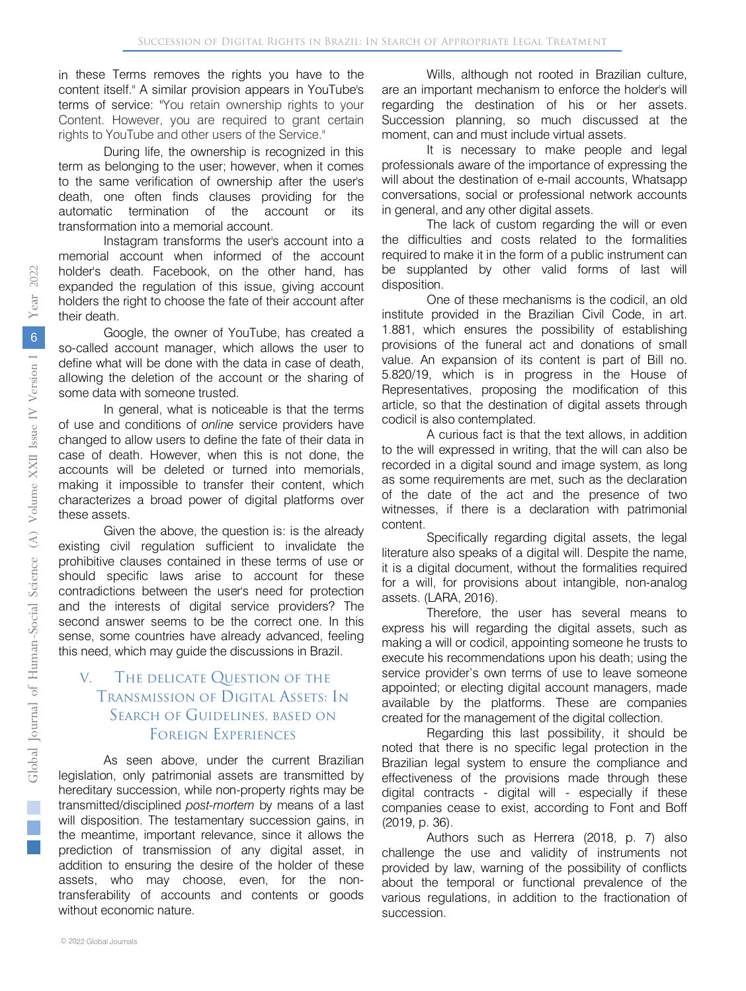in these Terms removes the rights you have to the content itself." A similar provision appears in YouTube's terms of service: "You retain ownership rights to your Content. However, you are required to grant certain rights to YouTube and other users of the Service."

During life, the ownership is recognized in this term as belonging to the user; however, when it comes to the same verification of ownership after the user's death, one often finds clauses providing for the automatic termination of the account or its transformation into a memorial account.

Instagram transforms the user's account into a memorial account when informed of the account holder's death. Facebook, on the other hand, has expanded the regulation of this issue, giving account holders the right to choose the fate of their account after their death.

Google, the owner of YouTube, has created a so-called account manager, which allows the user to define what will be done with the data in case of death, allowing the deletion of the account or the sharing of some data with someone trusted.

In general, what is noticeable is that the terms of use and conditions of *online* service providers have changed to allow users to define the fate of their data in case of death. However, when this is not done, the accounts will be deleted or turned into memorials, making it impossible to transfer their content, which characterizes a broad power of digital platforms over these assets.

Given the above, the question is: is the already existing civil regulation sufficient to invalidate the prohibitive clauses contained in these terms of use or should specific laws arise to account for these contradictions between the user's need for protection and the interests of digital service providers? The second answer seems to be the correct one. In this sense, some countries have already advanced, feeling this need, which may guide the discussions in Brazil.

#### V. The delicate Question of the Transmission of Digital Assets: In SEARCH OF GUIDELINES, BASED ON Foreign Experiences

As seen above, under the current Brazilian legislation, only patrimonial assets are transmitted by hereditary succession, while non-property rights may be transmitted/disciplined *post-mortem* by means of a last will disposition. The testamentary succession gains, in the meantime, important relevance, since it allows the prediction of transmission of any digital asset, in addition to ensuring the desire of the holder of these assets, who may choose, even, for the nontransferability of accounts and contents or goods without economic nature.

Wills, although not rooted in Brazilian culture, are an important mechanism to enforce the holder's will regarding the destination of his or her assets. Succession planning, so much discussed at the moment, can and must include virtual assets.

It is necessary to make people and legal professionals aware of the importance of expressing the will about the destination of e-mail accounts, Whatsapp conversations, social or professional network accounts in general, and any other digital assets.

The lack of custom regarding the will or even the difficulties and costs related to the formalities required to make it in the form of a public instrument can be supplanted by other valid forms of last will disposition.

One of these mechanisms is the codicil, an old institute provided in the Brazilian Civil Code, in art. 1.881, which ensures the possibility of establishing provisions of the funeral act and donations of small value. An expansion of its content is part of Bill no. 5.820/19, which is in progress in the House of Representatives, proposing the modification of this article, so that the destination of digital assets through codicil is also contemplated.

A curious fact is that the text allows, in addition to the will expressed in writing, that the will can also be recorded in a digital sound and image system, as long as some requirements are met, such as the declaration of the date of the act and the presence of two witnesses, if there is a declaration with patrimonial content.

Specifically regarding digital assets, the legal literature also speaks of a digital will. Despite the name, it is a digital document, without the formalities required for a will, for provisions about intangible, non-analog assets. (LARA, 2016).

Therefore, the user has several means to express his will regarding the digital assets, such as making a will or codicil, appointing someone he trusts to execute his recommendations upon his death; using the service provider's own terms of use to leave someone appointed; or electing digital account managers, made available by the platforms. These are companies created for the management of the digital collection.

Regarding this last possibility, it should be noted that there is no specific legal protection in the Brazilian legal system to ensure the compliance and effectiveness of the provisions made through these digital contracts - digital will - especially if these companies cease to exist, according to Font and Boff (2019, p. 36).

Authors such as Herrera (2018, p. 7) also challenge the use and validity of instruments not provided by law, warning of the possibility of conflicts about the temporal or functional prevalence of the various regulations, in addition to the fractionation of succession.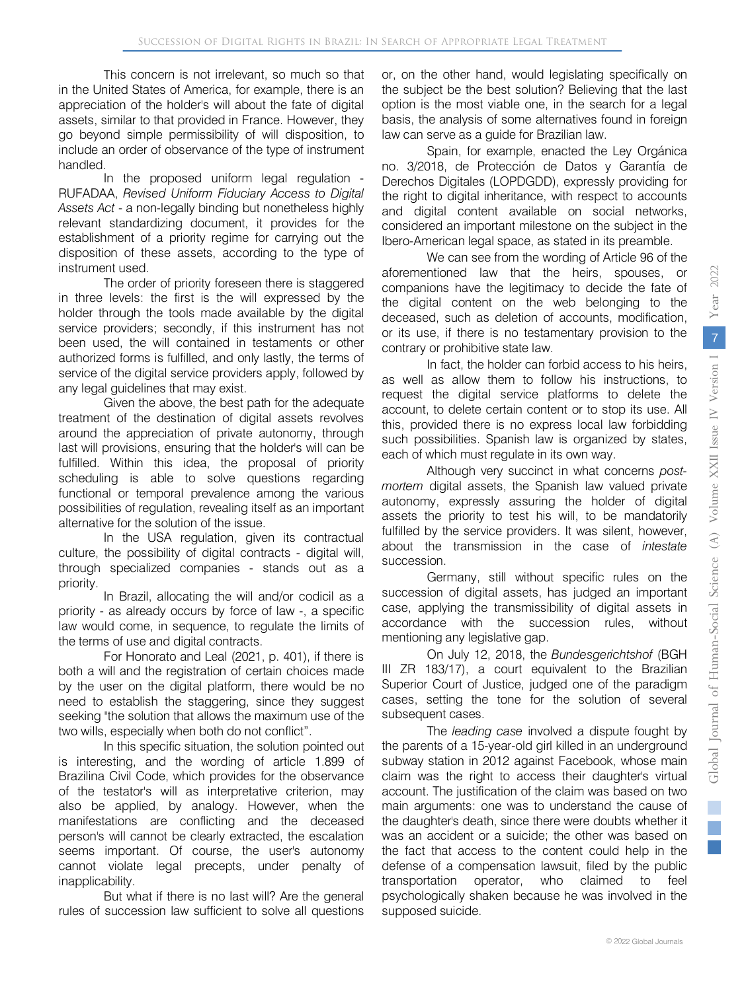This concern is not irrelevant, so much so that in the United States of America, for example, there is an appreciation of the holder's will about the fate of digital assets, similar to that provided in France. However, they go beyond simple permissibility of will disposition, to include an order of observance of the type of instrument handled.

In the proposed uniform legal regulation - RUFADAA, *Revised Uniform Fiduciary Access to Digital Assets Act* - a non-legally binding but nonetheless highly relevant standardizing document, it provides for the establishment of a priority regime for carrying out the disposition of these assets, according to the type of instrument used.

The order of priority foreseen there is staggered in three levels: the first is the will expressed by the holder through the tools made available by the digital service providers; secondly, if this instrument has not been used, the will contained in testaments or other authorized forms is fulfilled, and only lastly, the terms of service of the digital service providers apply, followed by any legal guidelines that may exist.

Given the above, the best path for the adequate treatment of the destination of digital assets revolves around the appreciation of private autonomy, through last will provisions, ensuring that the holder's will can be fulfilled. Within this idea, the proposal of priority scheduling is able to solve questions regarding functional or temporal prevalence among the various possibilities of regulation, revealing itself as an important alternative for the solution of the issue.

In the USA regulation, given its contractual culture, the possibility of digital contracts - digital will, through specialized companies - stands out as a priority.

In Brazil, allocating the will and/or codicil as a priority - as already occurs by force of law -, a specific law would come, in sequence, to regulate the limits of the terms of use and digital contracts.

For Honorato and Leal (2021, p. 401), if there is both a will and the registration of certain choices made by the user on the digital platform, there would be no need to establish the staggering, since they suggest seeking "the solution that allows the maximum use of the two wills, especially when both do not conflict".

In this specific situation, the solution pointed out is interesting, and the wording of article 1.899 of Brazilina Civil Code, which provides for the observance of the testator's will as interpretative criterion, may also be applied, by analogy. However, when the manifestations are conflicting and the deceased person's will cannot be clearly extracted, the escalation seems important. Of course, the user's autonomy cannot violate legal precepts, under penalty of inapplicability.

But what if there is no last will? Are the general rules of succession law sufficient to solve all questions

or, on the other hand, would legislating specifically on the subject be the best solution? Believing that the last option is the most viable one, in the search for a legal basis, the analysis of some alternatives found in foreign law can serve as a guide for Brazilian law.

Spain, for example, enacted the Ley Orgánica no. 3/2018, de Protección de Datos y Garantía de Derechos Digitales (LOPDGDD), expressly providing for the right to digital inheritance, with respect to accounts and digital content available on social networks, considered an important milestone on the subject in the Ibero-American legal space, as stated in its preamble.

We can see from the wording of Article 96 of the aforementioned law that the heirs, spouses, or companions have the legitimacy to decide the fate of the digital content on the web belonging to the deceased, such as deletion of accounts, modification, or its use, if there is no testamentary provision to the contrary or prohibitive state law.

In fact, the holder can forbid access to his heirs, as well as allow them to follow his instructions, to request the digital service platforms to delete the account, to delete certain content or to stop its use. All this, provided there is no express local law forbidding such possibilities. Spanish law is organized by states, each of which must regulate in its own way.

Although very succinct in what concerns *postmortem* digital assets, the Spanish law valued private autonomy, expressly assuring the holder of digital assets the priority to test his will, to be mandatorily fulfilled by the service providers. It was silent, however, about the transmission in the case of *intestate*  succession.

Germany, still without specific rules on the succession of digital assets, has judged an important case, applying the transmissibility of digital assets in accordance with the succession rules, without mentioning any legislative gap.

On July 12, 2018, the *Bundesgerichtshof* (BGH III ZR 183/17), a court equivalent to the Brazilian Superior Court of Justice, judged one of the paradigm cases, setting the tone for the solution of several subsequent cases.

The *leading case* involved a dispute fought by the parents of a 15-year-old girl killed in an underground subway station in 2012 against Facebook, whose main claim was the right to access their daughter's virtual account. The justification of the claim was based on two main arguments: one was to understand the cause of the daughter's death, since there were doubts whether it was an accident or a suicide; the other was based on the fact that access to the content could help in the defense of a compensation lawsuit, filed by the public transportation operator, who claimed to feel psychologically shaken because he was involved in the supposed suicide.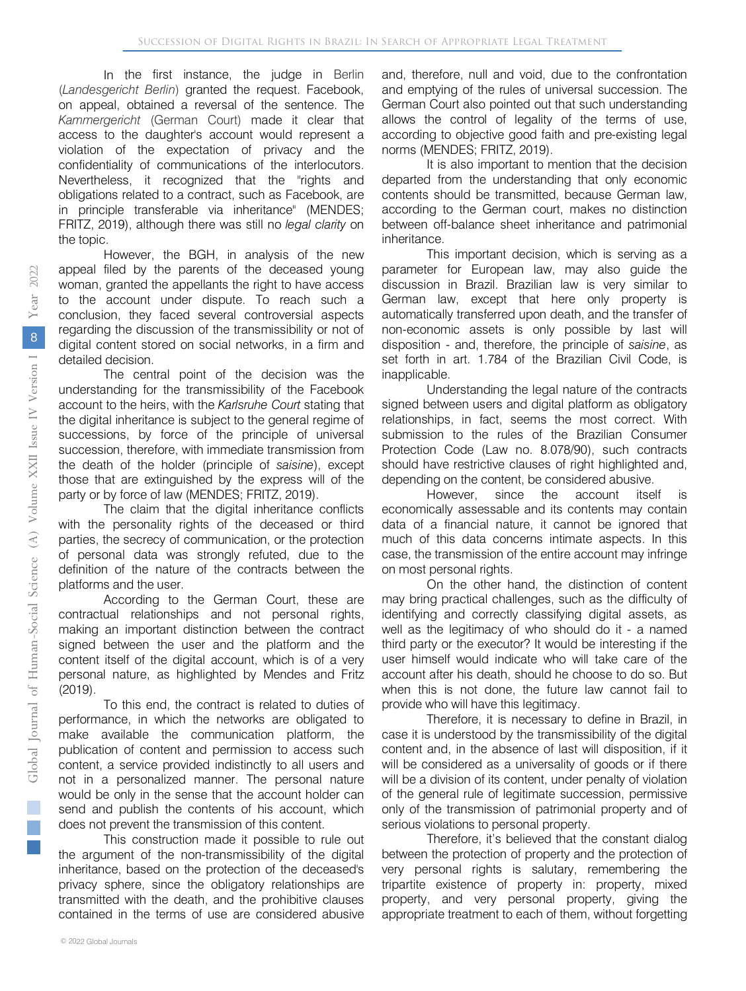In the first instance, the judge in Berlin (*Landesgericht Berlin*) granted the request. Facebook, on appeal, obtained a reversal of the sentence. The *Kammergericht* (German Court) made it clear that access to the daughter's account would represent a violation of the expectation of privacy and the confidentiality of communications of the interlocutors. Nevertheless, it recognized that the "rights and obligations related to a contract, such as Facebook, are in principle transferable via inheritance" (MENDES; FRITZ, 2019), although there was still no *legal clarity* on the topic.

However, the BGH, in analysis of the new appeal filed by the parents of the deceased young woman, granted the appellants the right to have access to the account under dispute. To reach such a conclusion, they faced several controversial aspects regarding the discussion of the transmissibility or not of digital content stored on social networks, in a firm and detailed decision.

The central point of the decision was the understanding for the transmissibility of the Facebook account to the heirs, with the *Karlsruhe Court* stating that the digital inheritance is subject to the general regime of successions, by force of the principle of universal succession, therefore, with immediate transmission from the death of the holder (principle of *saisine*), except those that are extinguished by the express will of the party or by force of law (MENDES; FRITZ, 2019).

The claim that the digital inheritance conflicts with the personality rights of the deceased or third parties, the secrecy of communication, or the protection of personal data was strongly refuted, due to the definition of the nature of the contracts between the platforms and the user.

According to the German Court, these are contractual relationships and not personal rights, making an important distinction between the contract signed between the user and the platform and the content itself of the digital account, which is of a very personal nature, as highlighted by Mendes and Fritz (2019).

To this end, the contract is related to duties of performance, in which the networks are obligated to make available the communication platform, the publication of content and permission to access such content, a service provided indistinctly to all users and not in a personalized manner. The personal nature would be only in the sense that the account holder can send and publish the contents of his account, which does not prevent the transmission of this content.

This construction made it possible to rule out the argument of the non-transmissibility of the digital inheritance, based on the protection of the deceased's privacy sphere, since the obligatory relationships are transmitted with the death, and the prohibitive clauses contained in the terms of use are considered abusive

and, therefore, null and void, due to the confrontation and emptying of the rules of universal succession. The German Court also pointed out that such understanding allows the control of legality of the terms of use, according to objective good faith and pre-existing legal norms (MENDES; FRITZ, 2019).

It is also important to mention that the decision departed from the understanding that only economic contents should be transmitted, because German law, according to the German court, makes no distinction between off-balance sheet inheritance and patrimonial inheritance.

This important decision, which is serving as a parameter for European law, may also guide the discussion in Brazil. Brazilian law is very similar to German law, except that here only property is automatically transferred upon death, and the transfer of non-economic assets is only possible by last will disposition - and, therefore, the principle of *saisine*, as set forth in art. 1.784 of the Brazilian Civil Code, is inapplicable.

Understanding the legal nature of the contracts signed between users and digital platform as obligatory relationships, in fact, seems the most correct. With submission to the rules of the Brazilian Consumer Protection Code (Law no. 8.078/90), such contracts should have restrictive clauses of right highlighted and, depending on the content, be considered abusive.

However, since the account itself economically assessable and its contents may contain data of a financial nature, it cannot be ignored that much of this data concerns intimate aspects. In this case, the transmission of the entire account may infringe on most personal rights.

On the other hand, the distinction of content may bring practical challenges, such as the difficulty of identifying and correctly classifying digital assets, as well as the legitimacy of who should do it - a named third party or the executor? It would be interesting if the user himself would indicate who will take care of the account after his death, should he choose to do so. But when this is not done, the future law cannot fail to provide who will have this legitimacy.

Therefore, it is necessary to define in Brazil, in case it is understood by the transmissibility of the digital content and, in the absence of last will disposition, if it will be considered as a universality of goods or if there will be a division of its content, under penalty of violation of the general rule of legitimate succession, permissive only of the transmission of patrimonial property and of serious violations to personal property.

Therefore, it's believed that the constant dialog between the protection of property and the protection of very personal rights is salutary, remembering the tripartite existence of property in: property, mixed property, and very personal property, giving the appropriate treatment to each of them, without forgetting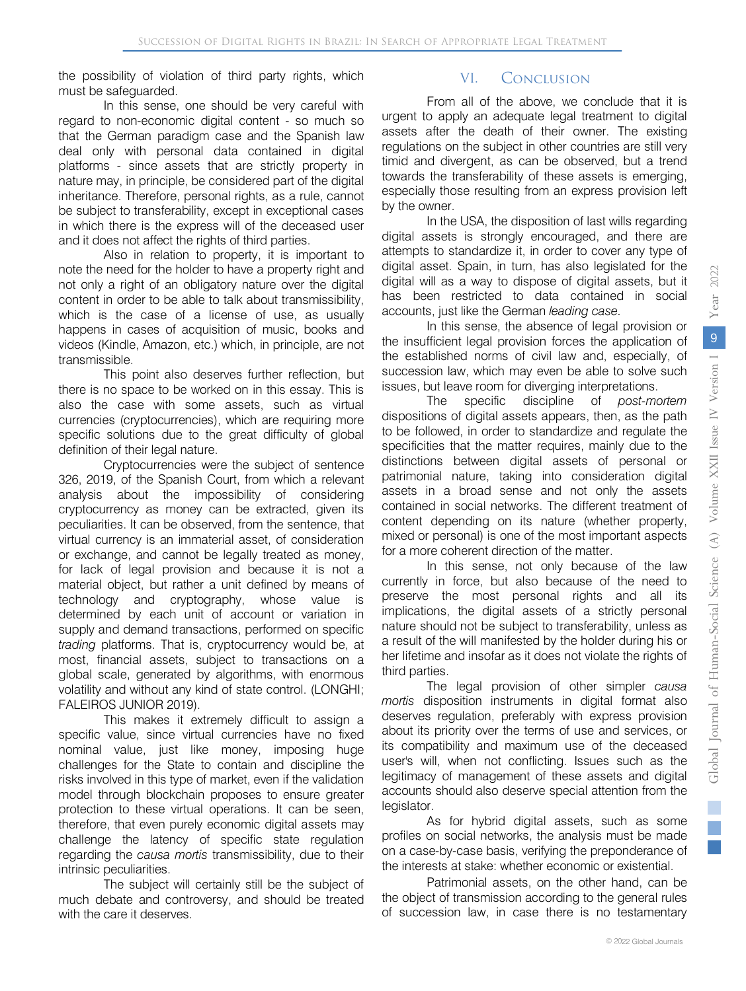the possibility of violation of third party rights, which must be safeguarded.

In this sense, one should be very careful with regard to non-economic digital content - so much so that the German paradigm case and the Spanish law deal only with personal data contained in digital platforms - since assets that are strictly property in nature may, in principle, be considered part of the digital inheritance. Therefore, personal rights, as a rule, cannot be subject to transferability, except in exceptional cases in which there is the express will of the deceased user and it does not affect the rights of third parties.

Also in relation to property, it is important to note the need for the holder to have a property right and not only a right of an obligatory nature over the digital content in order to be able to talk about transmissibility, which is the case of a license of use, as usually happens in cases of acquisition of music, books and videos (Kindle, Amazon, etc.) which, in principle, are not transmissible.

This point also deserves further reflection, but there is no space to be worked on in this essay. This is also the case with some assets, such as virtual currencies (cryptocurrencies), which are requiring more specific solutions due to the great difficulty of global definition of their legal nature.

Cryptocurrencies were the subject of sentence 326, 2019, of the Spanish Court, from which a relevant analysis about the impossibility of considering cryptocurrency as money can be extracted, given its peculiarities. It can be observed, from the sentence, that virtual currency is an immaterial asset, of consideration or exchange, and cannot be legally treated as money, for lack of legal provision and because it is not a material object, but rather a unit defined by means of technology and cryptography, whose value is determined by each unit of account or variation in supply and demand transactions, performed on specific *trading* platforms. That is, cryptocurrency would be, at most, financial assets, subject to transactions on a global scale, generated by algorithms, with enormous volatility and without any kind of state control. (LONGHI; FALEIROS JUNIOR 2019).

This makes it extremely difficult to assign a specific value, since virtual currencies have no fixed nominal value, just like money, imposing huge challenges for the State to contain and discipline the risks involved in this type of market, even if the validation model through blockchain proposes to ensure greater protection to these virtual operations. It can be seen, therefore, that even purely economic digital assets may challenge the latency of specific state regulation regarding the *causa mortis* transmissibility, due to their intrinsic peculiarities.

The subject will certainly still be the subject of much debate and controversy, and should be treated with the care it deserves.

#### VI. Conclusion

From all of the above, we conclude that it is urgent to apply an adequate legal treatment to digital assets after the death of their owner. The existing regulations on the subject in other countries are still very timid and divergent, as can be observed, but a trend towards the transferability of these assets is emerging, especially those resulting from an express provision left by the owner.

In the USA, the disposition of last wills regarding digital assets is strongly encouraged, and there are attempts to standardize it, in order to cover any type of digital asset. Spain, in turn, has also legislated for the digital will as a way to dispose of digital assets, but it has been restricted to data contained in social accounts, just like the German *leading case.*

In this sense, the absence of legal provision or the insufficient legal provision forces the application of the established norms of civil law and, especially, of succession law, which may even be able to solve such issues, but leave room for diverging interpretations.

The specific discipline of *post-mortem*  dispositions of digital assets appears, then, as the path to be followed, in order to standardize and regulate the specificities that the matter requires, mainly due to the distinctions between digital assets of personal or patrimonial nature, taking into consideration digital assets in a broad sense and not only the assets contained in social networks. The different treatment of content depending on its nature (whether property, mixed or personal) is one of the most important aspects for a more coherent direction of the matter.

In this sense, not only because of the law currently in force, but also because of the need to preserve the most personal rights and all its implications, the digital assets of a strictly personal nature should not be subject to transferability, unless as a result of the will manifested by the holder during his or her lifetime and insofar as it does not violate the rights of third parties.

The legal provision of other simpler *causa mortis* disposition instruments in digital format also deserves regulation, preferably with express provision about its priority over the terms of use and services, or its compatibility and maximum use of the deceased user's will, when not conflicting. Issues such as the legitimacy of management of these assets and digital accounts should also deserve special attention from the legislator.

As for hybrid digital assets, such as some profiles on social networks, the analysis must be made on a case-by-case basis, verifying the preponderance of the interests at stake: whether economic or existential.

Patrimonial assets, on the other hand, can be the object of transmission according to the general rules of succession law, in case there is no testamentary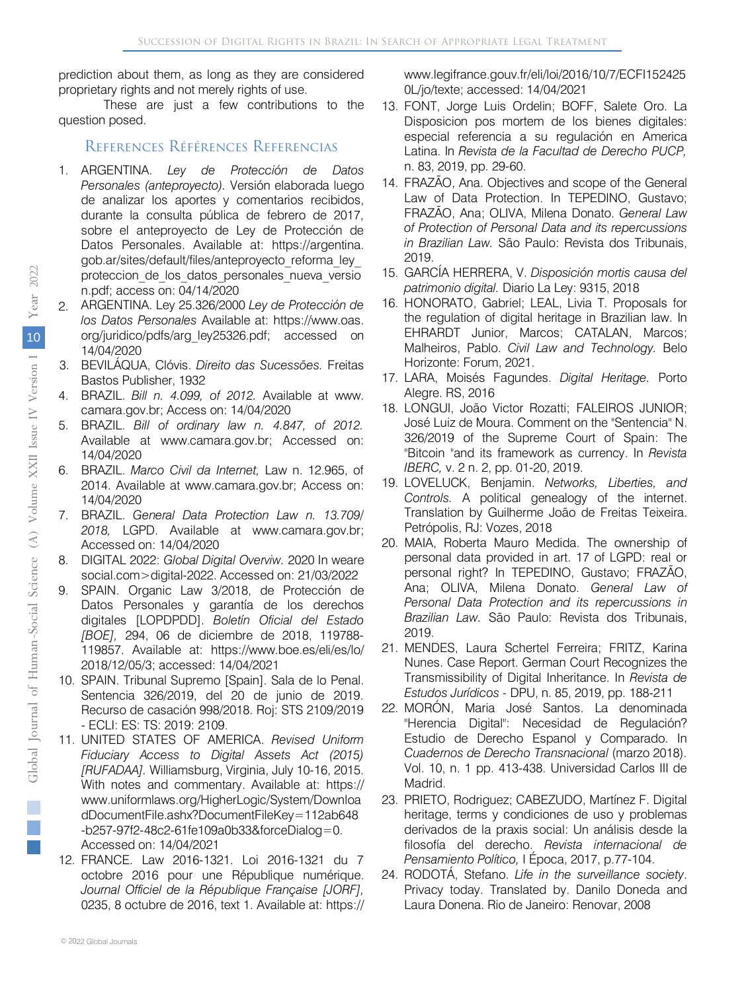prediction about them, as long as they are considered proprietary rights and not merely rights of use.

These are just a few contributions to the question posed.

#### References Références Referencias

- 1. ARGENTINA. *Ley de Protección de Datos Personales (anteproyecto).* Versión elaborada luego de analizar los aportes y comentarios recibidos, durante la consulta pública de febrero de 2017, sobre el anteproyecto de Ley de Protección de Datos Personales. Available at: https://argentina. gob.ar/sites/default/files/anteproyecto\_reforma\_ley\_ proteccion de los datos personales nueva versio n.pdf; access on: 04/14/2020
- ARGENTINA. Ley 25.326/2000 *Ley de Protección de los Datos Personales* Available at: https[://www.oas.](http://www.oas.org/juridico/pdfs/arg_ley25326.pdf) [org/juridico/pdfs/arg\\_ley25326.pdf;](http://www.oas.org/juridico/pdfs/arg_ley25326.pdf) accessed on 14/04/2020 2.
- BEVILÁQUA, Clóvis. *Direito das Sucessões.* Freitas 3.Bastos Publisher, 1932
- 4. BRAZIL. *Bill n. 4.099, of 2012.* Available at www. camara.gov.br; Access on: 14/04/2020
- 5. BRAZIL. *Bill of ordinary law n. 4.847, of 2012.* Available at www.camara.gov.br; Accessed on: 14/04/2020
- 6. BRAZIL. *Marco Civil da Internet,* Law n. 12.965, of 2014. Available at www.camara.gov.br; Access on: 14/04/2020
- 7. BRAZIL. *General Data Protection Law n. 13.709/ 2018,* LGPD. Available at www.camara.gov.br; Accessed on: 14/04/2020
- 8. DIGITAL 2022: *Global Digital Overviw.* 2020 In weare social.com>digital-2022. Accessed on: 21/03/2022
- 9. SPAIN. Organic Law 3/2018, de Protección de Datos Personales y garantía de los derechos digitales [LOPDPDD]. *Boletín Oficial del Estado [BOE],* 294, 06 de diciembre de 2018, 119788- 119857. Available at: https://www.boe.es/eli/es/lo/ 2018/12/05/3; accessed: 14/04/2021
- 10. SPAIN. Tribunal Supremo [Spain]. Sala de lo Penal. Sentencia 326/2019, del 20 de junio de 2019. Recurso de casación 998/2018. Roj: STS 2109/2019 - ECLI: ES: TS: 2019: 2109.
- 11. UNITED STATES OF AMERICA. *Revised Uniform Fiduciary Access to Digital Assets Act (2015) [RUFADAA].* Williamsburg, Virginia, July 10-16, 2015. With notes and commentary. Available at: https:// www.uniformlaws.org/HigherLogic/System/Downloa dDocumentFile.ashx?DocumentFileKey=112ab648 -b257-97f2-48c2-61fe109a0b33&forceDialog=0. Accessed on: 14/04/2021
- 12. FRANCE. Law 2016-1321. Loi 2016-1321 du 7 octobre 2016 pour une République numérique. *Journal Officiel de la République Française [JORF],* 0235, 8 octubre de 2016, text 1. Available at: https://

www.legifrance.gouv.fr/eli/loi/2016/10/7/ECFI152425 0L/jo/texte; accessed: 14/04/2021

- 13. FONT, Jorge Luis Ordelin; BOFF, Salete Oro. La Disposicion pos mortem de los bienes digitales: especial referencia a su regulación en America Latina. In *Revista de la Facultad de Derecho PUCP,* n. 83, 2019, pp. 29-60.
- 14. FRAZÃO, Ana. Objectives and scope of the General Law of Data Protection. In TEPEDINO, Gustavo; FRAZÃO, Ana; OLIVA, Milena Donato. *General Law of Protection of Personal Data and its repercussions in Brazilian Law.* São Paulo: Revista dos Tribunais, 2019.
- 15. GARCÍA HERRERA, V. *Disposición mortis causa del patrimonio digital.* Diario La Ley: 9315, 2018
- 16. HONORATO, Gabriel; LEAL, Livia T. Proposals for the regulation of digital heritage in Brazilian law. In EHRARDT Junior, Marcos; CATALAN, Marcos; Malheiros, Pablo. *Civil Law and Technology.* Belo Horizonte: Forum, 2021.
- 17. LARA, Moisés Fagundes. *Digital Heritage.* Porto Alegre. RS, 2016
- 18. LONGUI, João Victor Rozatti; FALEIROS JUNIOR; José Luiz de Moura. Comment on the "Sentencia" N. 326/2019 of the Supreme Court of Spain: The "Bitcoin "and its framework as currency. In *Revista IBERC,* v. 2 n. 2, pp. 01-20, 2019.
- 19. LOVELUCK, Benjamin. *Networks, Liberties, and Controls.* A political genealogy of the internet. Translation by Guilherme João de Freitas Teixeira. Petrópolis, RJ: Vozes, 2018
- 20. MAIA, Roberta Mauro Medida. The ownership of personal data provided in art. 17 of LGPD: real or personal right? In TEPEDINO, Gustavo; FRAZÃO, Ana; OLIVA, Milena Donato. *General Law of Personal Data Protection and its repercussions in Brazilian Law.* São Paulo: Revista dos Tribunais, 2019.
- 21. MENDES, Laura Schertel Ferreira; FRITZ, Karina Nunes. Case Report. German Court Recognizes the Transmissibility of Digital Inheritance. In *Revista de Estudos Jurídicos -* DPU, n. 85, 2019, pp. 188-211
- 22. MORÓN, Maria José Santos. La denominada "Herencia Digital": Necesidad de Regulación? Estudio de Derecho Espanol y Comparado. In *Cuadernos de Derecho Transnacional* (marzo 2018). Vol. 10, n. 1 pp. 413-438. Universidad Carlos III de Madrid.
- 23. PRIETO, Rodriguez; CABEZUDO, Martínez F. Digital heritage, terms y condiciones de uso y problemas derivados de la praxis social: Un análisis desde la filosofía del derecho. *Revista internacional de Pensamiento Político,* I Época, 2017, p.77-104.
- 24. RODOTÁ, Stefano. *Life in the surveillance society*. Privacy today. Translated by. Danilo Doneda and Laura Donena. Rio de Janeiro: Renovar, 2008